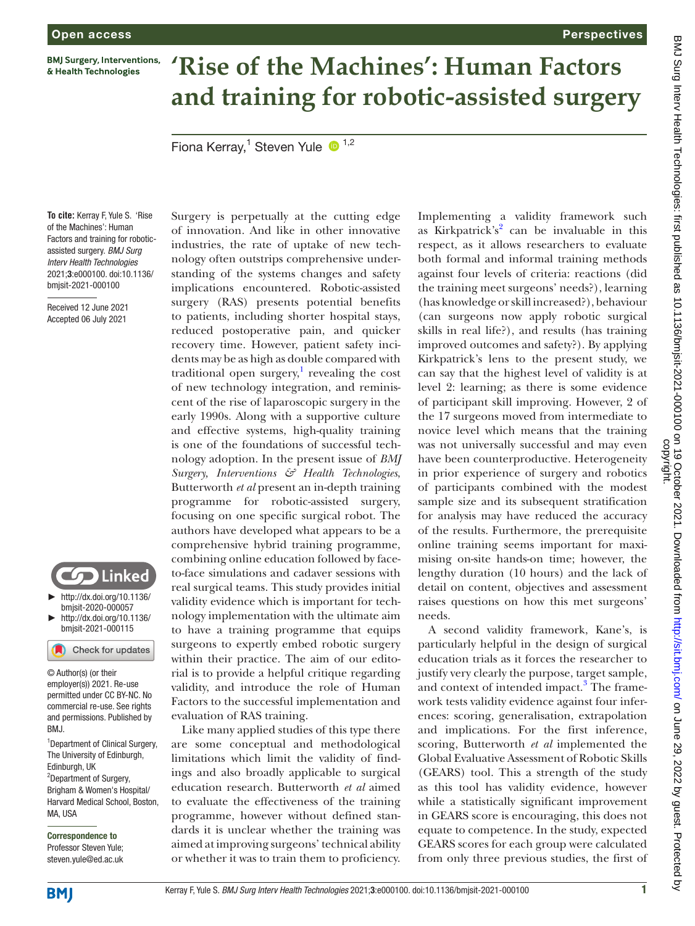**BMJ Surgery, Interventions,** & Health Technologies

# **'Rise of the Machines': Human Factors and training for robotic-assisted surgery**

Fiona Kerray,<sup>1</sup> Steven Yule <sup>1,2</sup>

**To cite:** Kerray F, Yule S. 'Rise of the Machines': Human Factors and training for roboticassisted surgery. *BMJ Surg Interv Health Technologies* 2021;3:e000100. doi:10.1136/ bmjsit-2021-000100

Received 12 June 2021 Accepted 06 July 2021



► [http://dx.doi.org/10.1136/](http://dx.doi.org/10.1136/bmjsit-2020-000057) [bmjsit-2020-000057](http://dx.doi.org/10.1136/bmjsit-2020-000057) ► [http://dx.doi.org/10.1136/](http://dx.doi.org/10.1136/bmjsit-2021-000115)

[bmjsit-2021-000115](http://dx.doi.org/10.1136/bmjsit-2021-000115)

Check for updates © Author(s) (or their

employer(s)) 2021. Re-use permitted under CC BY-NC. No commercial re-use. See rights and permissions. Published by RM<sub>J</sub>

<sup>1</sup>Department of Clinical Surgery, The University of Edinburgh, Edinburgh, UK <sup>2</sup>Department of Surgery, Brigham & Women's Hospital/ Harvard Medical School, Boston, MA, USA

Correspondence to Professor Steven Yule; steven.yule@ed.ac.uk Surgery is perpetually at the cutting edge of innovation. And like in other innovative industries, the rate of uptake of new technology often outstrips comprehensive understanding of the systems changes and safety implications encountered. Robotic-assisted surgery (RAS) presents potential benefits to patients, including shorter hospital stays, reduced postoperative pain, and quicker recovery time. However, patient safety incidents may be as high as double compared with traditional open surgery, $\frac{1}{1}$  $\frac{1}{1}$  $\frac{1}{1}$  revealing the cost of new technology integration, and reminiscent of the rise of laparoscopic surgery in the early 1990s. Along with a supportive culture and effective systems, high-quality training is one of the foundations of successful technology adoption. In the present issue of *BMJ Surgery, Interventions & Health Technologies*, Butterworth *et al* present an in-depth training programme for robotic-assisted surgery, focusing on one specific surgical robot. The authors have developed what appears to be a comprehensive hybrid training programme, combining online education followed by faceto-face simulations and cadaver sessions with real surgical teams. This study provides initial validity evidence which is important for technology implementation with the ultimate aim to have a training programme that equips surgeons to expertly embed robotic surgery within their practice. The aim of our editorial is to provide a helpful critique regarding validity, and introduce the role of Human Factors to the successful implementation and evaluation of RAS training.

Like many applied studies of this type there are some conceptual and methodological limitations which limit the validity of findings and also broadly applicable to surgical education research. Butterworth *et al* aimed to evaluate the effectiveness of the training programme, however without defined standards it is unclear whether the training was aimed at improving surgeons' technical ability or whether it was to train them to proficiency.

Implementing a validity framework such as Kirkpatrick's<sup>[2](#page-1-1)</sup> can be invaluable in this respect, as it allows researchers to evaluate both formal and informal training methods against four levels of criteria: reactions (did the training meet surgeons' needs?), learning (has knowledge or skill increased?), behaviour (can surgeons now apply robotic surgical skills in real life?), and results (has training improved outcomes and safety?). By applying Kirkpatrick's lens to the present study, we can say that the highest level of validity is at level 2: learning; as there is some evidence of participant skill improving. However, 2 of the 17 surgeons moved from intermediate to novice level which means that the training was not universally successful and may even have been counterproductive. Heterogeneity in prior experience of surgery and robotics of participants combined with the modest sample size and its subsequent stratification for analysis may have reduced the accuracy of the results. Furthermore, the prerequisite online training seems important for maximising on-site hands-on time; however, the lengthy duration (10 hours) and the lack of detail on content, objectives and assessment raises questions on how this met surgeons' needs.

**Perspectives** 

A second validity framework, Kane's, is particularly helpful in the design of surgical education trials as it forces the researcher to justify very clearly the purpose, target sample, and context of intended impact.<sup>[3](#page-1-2)</sup> The framework tests validity evidence against four inferences: scoring, generalisation, extrapolation and implications. For the first inference, scoring, Butterworth *et al* implemented the Global Evaluative Assessment of Robotic Skills (GEARS) tool. This a strength of the study as this tool has validity evidence, however while a statistically significant improvement in GEARS score is encouraging, this does not equate to competence. In the study, expected GEARS scores for each group were calculated from only three previous studies, the first of